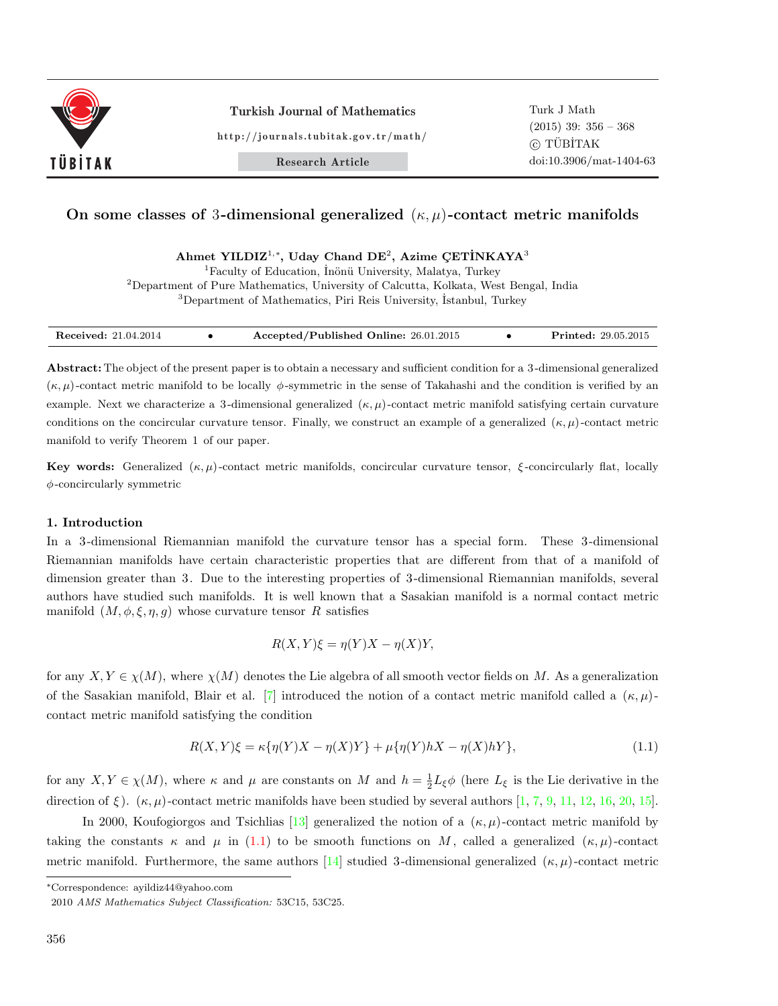

http://journals.tubitak.gov.tr/math/

Research Article

### On some classes of 3-dimensional generalized  $(\kappa, \mu)$ -contact metric manifolds

Ahmet YILDIZ<sup>1,\*</sup>, Uday Chand DE<sup>2</sup>, Azime ÇETİNKAYA<sup>3</sup>

<sup>1</sup>Faculty of Education, İnönü University, Malatya, Turkey

<sup>2</sup>Department of Pure Mathematics, University of Calcutta, Kolkata, West Bengal, India <sup>3</sup>Department of Mathematics, Piri Reis University, Istanbul, Turkey

| <b>Received:</b> 21.04.2014 | Accepted/Published Online: 26.01.2015 |  | <b>Printed:</b> 29.05.2015 |
|-----------------------------|---------------------------------------|--|----------------------------|
|-----------------------------|---------------------------------------|--|----------------------------|

Abstract: The object of the present paper is to obtain a necessary and sufficient condition for a 3 -dimensional generalized  $(\kappa, \mu)$ -contact metric manifold to be locally  $\phi$ -symmetric in the sense of Takahashi and the condition is verified by an example. Next we characterize a 3-dimensional generalized  $(\kappa, \mu)$ -contact metric manifold satisfying certain curvature conditions on the concircular curvature tensor. Finally, we construct an example of a generalized  $(\kappa, \mu)$ -contact metric manifold to verify Theorem 1 of our paper.

Key words: Generalized  $(\kappa, \mu)$ -contact metric manifolds, concircular curvature tensor,  $\xi$ -concircularly flat, locally  $\phi$ -concircularly symmetric

#### 1. Introduction

In a 3 -dimensional Riemannian manifold the curvature tensor has a special form. These 3 -dimensional Riemannian manifolds have certain characteristic properties that are different from that of a manifold of dimension greater than 3. Due to the interesting properties of 3 -dimensional Riemannian manifolds, several authors have studied such manifolds. It is well known that a Sasakian manifold is a normal contact metric manifold  $(M, \phi, \xi, \eta, g)$  whose curvature tensor R satisfies

$$
R(X,Y)\xi = \eta(Y)X - \eta(X)Y,
$$

for any  $X, Y \in \chi(M)$ , where  $\chi(M)$  denotes the Lie algebra of all smooth vector fields on M. As a generalization of the Sasakian manifold, Blair et al. [7] introduced the notion of a contact metric manifold called a  $(\kappa, \mu)$ contact metric manifold satisfying the condition

$$
R(X,Y)\xi = \kappa \{ \eta(Y)X - \eta(X)Y \} + \mu \{ \eta(Y)hX - \eta(X)hY \},
$$
\n(1.1)

for any  $X, Y \in \chi(M)$ , where  $\kappa$  and  $\mu$  are constants on M and  $h = \frac{1}{2}L_{\xi}\phi$  (here  $L_{\xi}$  is the Lie derivative in the direction of ξ).  $(\kappa, \mu)$ -contact metric manifolds have been studied by several authors [1, 7, 9, 11, 12, 16, 20, 15].

In 2000, Koufogiorgos and Tsichlias [13] generalized the notion of a  $(\kappa, \mu)$ -contact metric manifold by taking the constants  $\kappa$  and  $\mu$  in (1.1) to be smooth functions on M, called a generalized  $(\kappa, \mu)$ -contact metric manifold. Furthermore, the same authors [14] studied 3-dimensional generalized  $(\kappa, \mu)$ -contact metric

<sup>∗</sup>Correspondence: ayildiz44@yahoo.com

<sup>2010</sup> AMS Mathematics Subject Classification: 53C15, 53C25.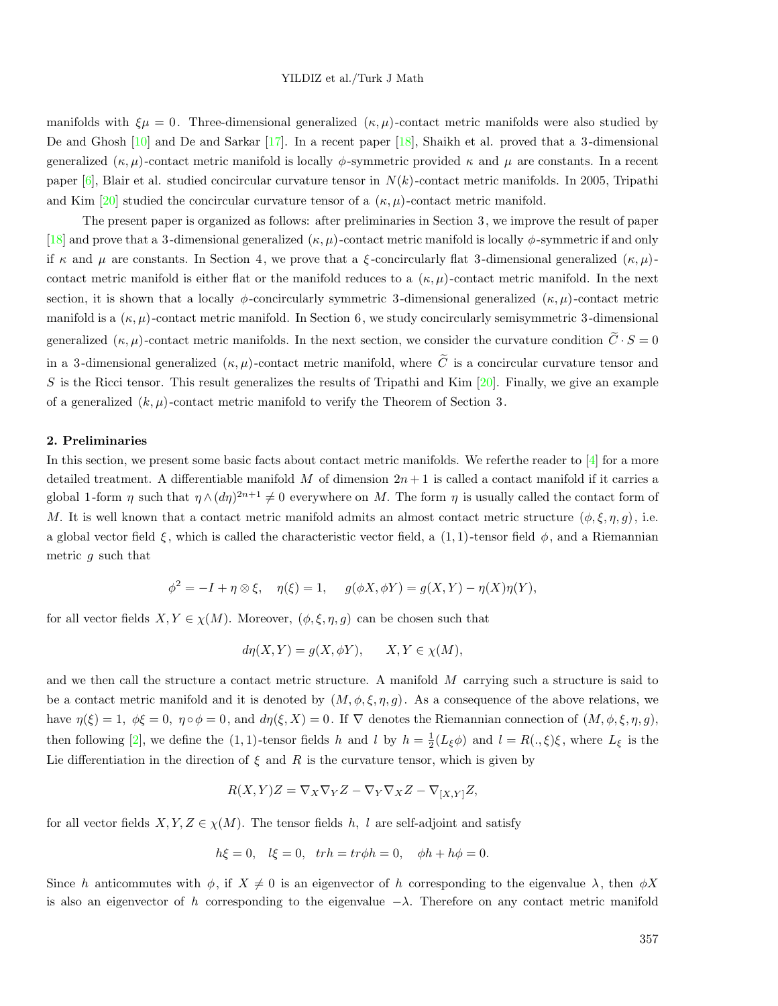manifolds with  $\xi\mu = 0$ . Three-dimensional generalized  $(\kappa, \mu)$ -contact metric manifolds were also studied by De and Ghosh [10] and De and Sarkar [17]. In a recent paper [18], Shaikh et al. proved that a 3 -dimensional generalized  $(\kappa, \mu)$ -contact metric manifold is locally  $\phi$ -symmetric provided  $\kappa$  and  $\mu$  are constants. In a recent paper  $[6]$ , Blair et al. studied concircular curvature tensor in  $N(k)$ -contact metric manifolds. In 2005, Tripathi and Kim [20] studied the concircular curvature tensor of a  $(\kappa, \mu)$ -contact metric manifold.

The present paper is organized as follows: after preliminaries in Section 3, we improve the result of paper [18] and prove that a 3-dimensional generalized  $(\kappa, \mu)$ -contact metric manifold is locally  $\phi$ -symmetric if and only if  $\kappa$  and  $\mu$  are constants. In Section 4, we prove that a ξ-concircularly flat 3-dimensional generalized  $(\kappa, \mu)$ contact metric manifold is either flat or the manifold reduces to a  $(\kappa, \mu)$ -contact metric manifold. In the next section, it is shown that a locally φ-concircularly symmetric 3-dimensional generalized  $(\kappa, \mu)$ -contact metric manifold is a  $(\kappa, \mu)$ -contact metric manifold. In Section 6, we study concircularly semisymmetric 3-dimensional generalized  $(\kappa, \mu)$ -contact metric manifolds. In the next section, we consider the curvature condition  $\tilde{C} \cdot S = 0$ in a 3-dimensional generalized  $(\kappa, \mu)$ -contact metric manifold, where  $\tilde{C}$  is a concircular curvature tensor and S is the Ricci tensor. This result generalizes the results of Tripathi and Kim  $[20]$ . Finally, we give an example of a generalized  $(k, \mu)$ -contact metric manifold to verify the Theorem of Section 3.

#### 2. Preliminaries

In this section, we present some basic facts about contact metric manifolds. We referthe reader to [4] for a more detailed treatment. A differentiable manifold M of dimension  $2n+1$  is called a contact manifold if it carries a global 1-form  $\eta$  such that  $\eta \wedge (d\eta)^{2n+1} \neq 0$  everywhere on M. The form  $\eta$  is usually called the contact form of M. It is well known that a contact metric manifold admits an almost contact metric structure  $(\phi, \xi, \eta, g)$ , i.e. a global vector field  $\xi$ , which is called the characteristic vector field, a  $(1,1)$ -tensor field  $\phi$ , and a Riemannian metric g such that

$$
\phi^2 = -I + \eta \otimes \xi, \quad \eta(\xi) = 1, \quad g(\phi X, \phi Y) = g(X, Y) - \eta(X)\eta(Y),
$$

for all vector fields  $X, Y \in \chi(M)$ . Moreover,  $(\phi, \xi, \eta, g)$  can be chosen such that

$$
d\eta(X, Y) = g(X, \phi Y), \qquad X, Y \in \chi(M),
$$

and we then call the structure a contact metric structure. A manifold  $M$  carrying such a structure is said to be a contact metric manifold and it is denoted by  $(M, \phi, \xi, \eta, g)$ . As a consequence of the above relations, we have  $\eta(\xi) = 1, \ \phi \xi = 0, \ \eta \circ \phi = 0, \text{ and } d\eta(\xi, X) = 0.$  If  $\nabla$  denotes the Riemannian connection of  $(M, \phi, \xi, \eta, g)$ , then following [2], we define the (1, 1)-tensor fields h and l by  $h = \frac{1}{2}(L_{\xi}\phi)$  and  $l = R(.,\xi)\xi$ , where  $L_{\xi}$  is the Lie differentiation in the direction of  $\xi$  and  $R$  is the curvature tensor, which is given by

$$
R(X,Y)Z = \nabla_X \nabla_Y Z - \nabla_Y \nabla_X Z - \nabla_{[X,Y]} Z,
$$

for all vector fields  $X, Y, Z \in \chi(M)$ . The tensor fields h, l are self-adjoint and satisfy

$$
h\xi = 0
$$
,  $l\xi = 0$ ,  $trh = tr\phi h = 0$ ,  $\phi h + h\phi = 0$ .

Since h anticommutes with  $\phi$ , if  $X \neq 0$  is an eigenvector of h corresponding to the eigenvalue  $\lambda$ , then  $\phi X$ is also an eigenvector of h corresponding to the eigenvalue  $-\lambda$ . Therefore on any contact metric manifold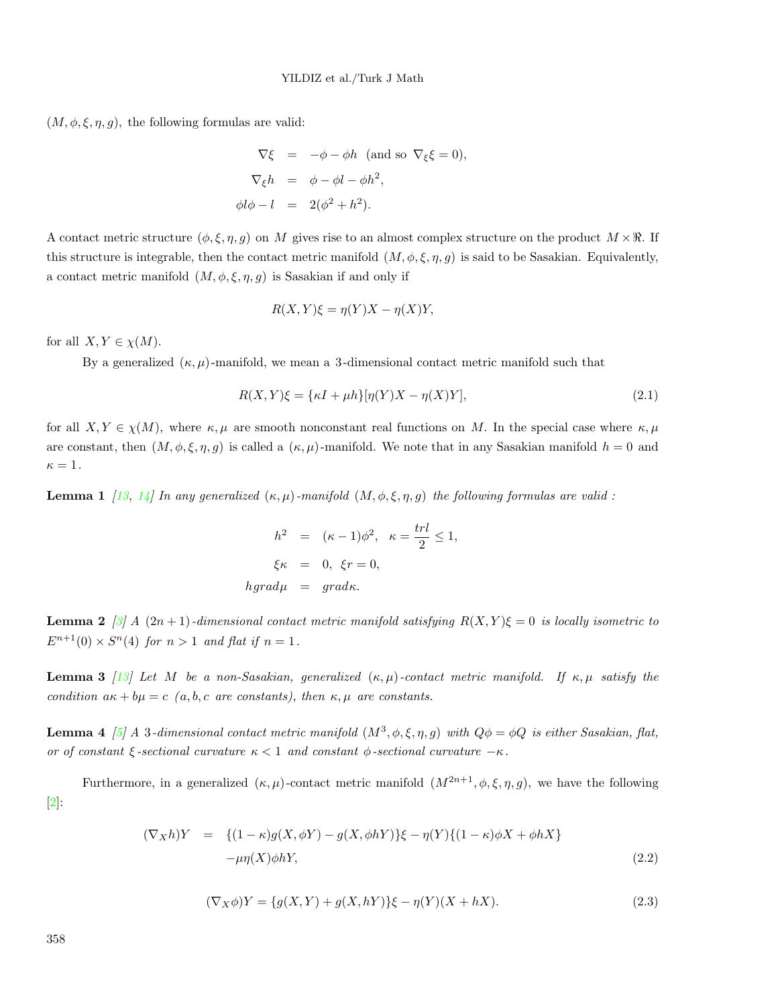$(M, \phi, \xi, \eta, g)$ , the following formulas are valid:

$$
\nabla \xi = -\phi - \phi h \text{ (and so } \nabla_{\xi} \xi = 0),
$$
  

$$
\nabla_{\xi} h = \phi - \phi l - \phi h^{2},
$$
  

$$
\phi l \phi - l = 2(\phi^{2} + h^{2}).
$$

A contact metric structure  $(\phi, \xi, \eta, g)$  on M gives rise to an almost complex structure on the product  $M \times \mathbb{R}$ . If this structure is integrable, then the contact metric manifold  $(M, \phi, \xi, \eta, g)$  is said to be Sasakian. Equivalently, a contact metric manifold  $(M, \phi, \xi, \eta, g)$  is Sasakian if and only if

$$
R(X,Y)\xi = \eta(Y)X - \eta(X)Y,
$$

for all  $X, Y \in \chi(M)$ .

By a generalized  $(\kappa, \mu)$ -manifold, we mean a 3-dimensional contact metric manifold such that

$$
R(X,Y)\xi = \{\kappa I + \mu h\}[\eta(Y)X - \eta(X)Y],\tag{2.1}
$$

for all  $X, Y \in \chi(M)$ , where  $\kappa, \mu$  are smooth nonconstant real functions on M. In the special case where  $\kappa, \mu$ are constant, then  $(M, \phi, \xi, \eta, g)$  is called a  $(\kappa, \mu)$ -manifold. We note that in any Sasakian manifold  $h = 0$  and  $\kappa=1$ .

**Lemma 1** [13, 14] In any generalized  $(\kappa, \mu)$ -manifold  $(M, \phi, \xi, \eta, g)$  the following formulas are valid :

$$
h2 = (\kappa - 1)\phi2, \kappa = \frac{trl}{2} \le 1,
$$
  

$$
\xi\kappa = 0, \xi r = 0,
$$
  

$$
hgrad\mu = grad\kappa.
$$

Lemma 2 *[3]* A  $(2n+1)$ *-dimensional contact metric manifold satisfying*  $R(X, Y)\xi = 0$  *is locally isometric to*  $E^{n+1}(0) \times S^n(4)$  *for*  $n > 1$  *and flat if*  $n = 1$ *.* 

Lemma 3 *[13] Let* M *be a non-Sasakian, generalized* (κ, µ)*-contact metric manifold. If* κ, µ *satisfy the condition*  $a\kappa + b\mu = c$  *(a, b, c are constants), then*  $\kappa, \mu$  *are constants.* 

**Lemma 4** [5] A 3-dimensional contact metric manifold  $(M^3, \phi, \xi, \eta, g)$  with  $Q\phi = \phi Q$  is either Sasakian, flat, *or of constant*  $\xi$ -sectional curvature  $\kappa < 1$  *and constant*  $\phi$ -sectional curvature  $-\kappa$ .

Furthermore, in a generalized  $(\kappa, \mu)$ -contact metric manifold  $(M^{2n+1}, \phi, \xi, \eta, g)$ , we have the following [2]:

$$
(\nabla_X h)Y = \{(1 - \kappa)g(X, \phi Y) - g(X, \phi hY)\}\xi - \eta(Y)\{(1 - \kappa)\phi X + \phi hX\}
$$
  
- $\mu\eta(X)\phi hY,$  (2.2)

$$
(\nabla_X \phi)Y = \{g(X, Y) + g(X, hY)\}\xi - \eta(Y)(X + hX). \tag{2.3}
$$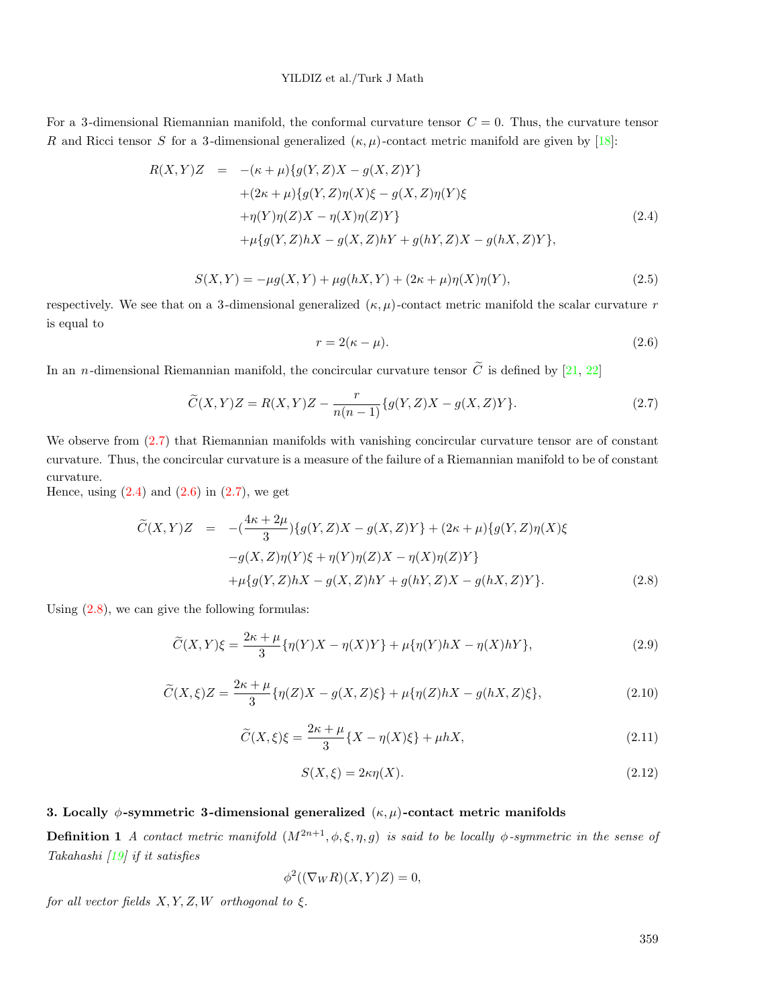#### YILDIZ et al./Turk J Math

For a 3-dimensional Riemannian manifold, the conformal curvature tensor  $C = 0$ . Thus, the curvature tensor R and Ricci tensor S for a 3-dimensional generalized  $(\kappa, \mu)$ -contact metric manifold are given by [18]:

$$
R(X,Y)Z = -(\kappa + \mu)\{g(Y,Z)X - g(X,Z)Y\} + (2\kappa + \mu)\{g(Y,Z)\eta(X)\xi - g(X,Z)\eta(Y)\xi + \eta(Y)\eta(Z)X - \eta(X)\eta(Z)Y\} + \mu\{g(Y,Z)hX - g(X,Z)hY + g(hY,Z)X - g(hX,Z)Y\},
$$
(2.4)

$$
S(X,Y) = -\mu g(X,Y) + \mu g(hX,Y) + (2\kappa + \mu)\eta(X)\eta(Y),
$$
\n(2.5)

respectively. We see that on a 3-dimensional generalized  $(\kappa, \mu)$ -contact metric manifold the scalar curvature r is equal to

$$
r = 2(\kappa - \mu). \tag{2.6}
$$

In an *n*-dimensional Riemannian manifold, the concircular curvature tensor  $\tilde{C}$  is defined by [21, 22]

$$
\widetilde{C}(X,Y)Z = R(X,Y)Z - \frac{r}{n(n-1)}\{g(Y,Z)X - g(X,Z)Y\}.
$$
\n(2.7)

We observe from  $(2.7)$  that Riemannian manifolds with vanishing concircular curvature tensor are of constant curvature. Thus, the concircular curvature is a measure of the failure of a Riemannian manifold to be of constant curvature.

Hence, using  $(2.4)$  and  $(2.6)$  in  $(2.7)$ , we get

$$
\widetilde{C}(X,Y)Z = -(\frac{4\kappa + 2\mu}{3})\{g(Y,Z)X - g(X,Z)Y\} + (2\kappa + \mu)\{g(Y,Z)\eta(X)\xi
$$
  
\n
$$
-g(X,Z)\eta(Y)\xi + \eta(Y)\eta(Z)X - \eta(X)\eta(Z)Y\}
$$
  
\n
$$
+ \mu\{g(Y,Z)hX - g(X,Z)hY + g(hY,Z)X - g(hX,Z)Y\}.
$$
\n(2.8)

Using (2.8), we can give the following formulas:

$$
\widetilde{C}(X,Y)\xi = \frac{2\kappa + \mu}{3} \{\eta(Y)X - \eta(X)Y\} + \mu \{\eta(Y)hX - \eta(X)hY\},\tag{2.9}
$$

$$
\widetilde{C}(X,\xi)Z = \frac{2\kappa + \mu}{3} \{\eta(Z)X - g(X,Z)\xi\} + \mu \{\eta(Z)hX - g(hX,Z)\xi\},\tag{2.10}
$$

$$
\widetilde{C}(X,\xi)\xi = \frac{2\kappa + \mu}{3} \{X - \eta(X)\xi\} + \mu h X,\tag{2.11}
$$

$$
S(X,\xi) = 2\kappa \eta(X). \tag{2.12}
$$

#### 3. Locally  $\phi$ -symmetric 3-dimensional generalized  $(\kappa, \mu)$ -contact metric manifolds

**Definition 1** *A contact metric manifold*  $(M^{2n+1}, \phi, \xi, \eta, g)$  *is said to be locally*  $\phi$ -symmetric in the sense of *Takahashi [19] if it satisfies*

$$
\phi^2((\nabla_W R)(X,Y)Z) = 0,
$$

*for all vector fields* X, Y, Z, W *orthogonal to* ξ.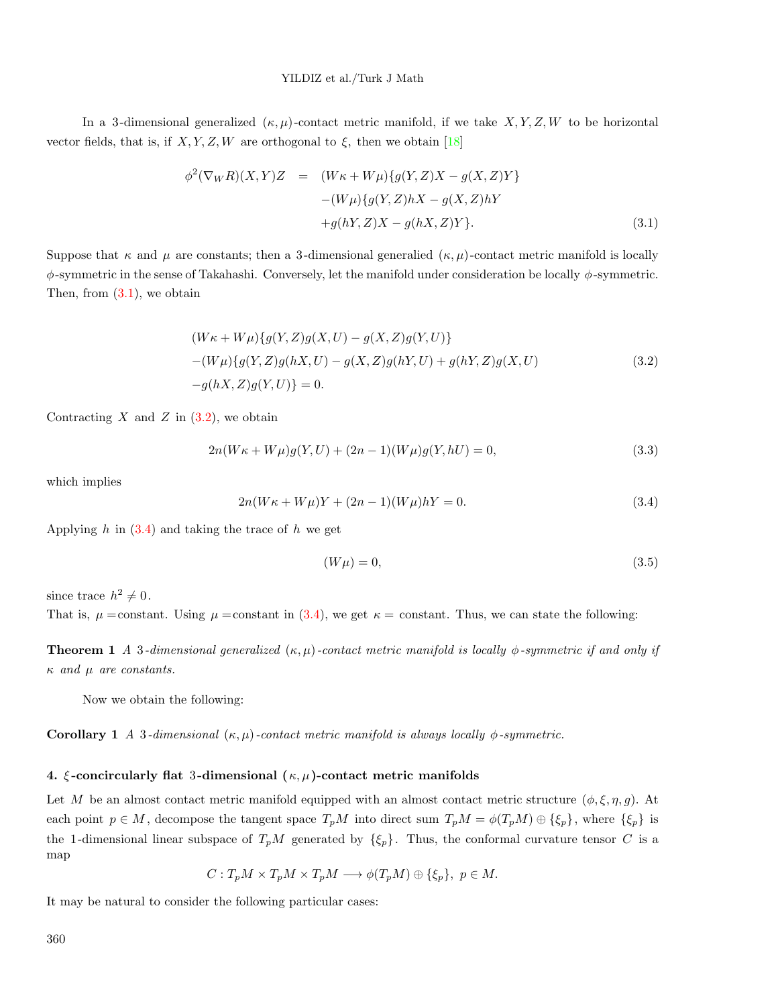#### YILDIZ et al./Turk J Math

In a 3-dimensional generalized  $(\kappa, \mu)$ -contact metric manifold, if we take X, Y, Z, W to be horizontal vector fields, that is, if  $X, Y, Z, W$  are orthogonal to  $\xi$ , then we obtain [18]

$$
\phi^2(\nabla_W R)(X,Y)Z = (W\kappa + W\mu)\{g(Y,Z)X - g(X,Z)Y\}
$$

$$
-(W\mu)\{g(Y,Z)hX - g(X,Z)hY
$$

$$
+g(hY,Z)X - g(hX,Z)Y\}.
$$
(3.1)

Suppose that  $\kappa$  and  $\mu$  are constants; then a 3-dimensional generalied  $(\kappa, \mu)$ -contact metric manifold is locally  $\phi$ -symmetric in the sense of Takahashi. Conversely, let the manifold under consideration be locally  $\phi$ -symmetric. Then, from  $(3.1)$ , we obtain

$$
(W\kappa + W\mu)\{g(Y, Z)g(X, U) - g(X, Z)g(Y, U)\}
$$
  
-(W\mu)\{g(Y, Z)g(hX, U) - g(X, Z)g(hY, U) + g(hY, Z)g(X, U)  
-g(hX, Z)g(Y, U)\} = 0. (3.2)

Contracting  $X$  and  $Z$  in  $(3.2)$ , we obtain

$$
2n(W\kappa + W\mu)g(Y, U) + (2n - 1)(W\mu)g(Y, hU) = 0,
$$
\n(3.3)

which implies

$$
2n(W\kappa + W\mu)Y + (2n - 1)(W\mu)hY = 0.
$$
\n(3.4)

Applying  $h$  in  $(3.4)$  and taking the trace of  $h$  we get

$$
(W\mu) = 0,\t\t(3.5)
$$

since trace  $h^2 \neq 0$ .

That is,  $\mu =$ constant. Using  $\mu =$ constant in (3.4), we get  $\kappa =$ constant. Thus, we can state the following:

**Theorem 1** *A* 3*-dimensional generalized*  $(\kappa, \mu)$ *-contact metric manifold is locally*  $\phi$ *-symmetric if and only if*  $\kappa$  *and*  $\mu$  *are constants.* 

Now we obtain the following:

**Corollary 1** *A* 3*-dimensional*  $(\kappa, \mu)$ *-contact metric manifold is always locally*  $\phi$ *-symmetric.* 

#### 4. ξ-concircularly flat 3-dimensional  $(\kappa, \mu)$ -contact metric manifolds

Let M be an almost contact metric manifold equipped with an almost contact metric structure  $(\phi, \xi, \eta, g)$ . At each point  $p \in M$ , decompose the tangent space  $T_pM$  into direct sum  $T_pM = \phi(T_pM) \oplus {\xi_p}$ , where  ${\xi_p}$  is the 1-dimensional linear subspace of  $T_pM$  generated by  $\{\xi_p\}$ . Thus, the conformal curvature tensor C is a map

$$
C: T_p M \times T_p M \times T_p M \longrightarrow \phi(T_p M) \oplus \{\xi_p\}, \ p \in M.
$$

It may be natural to consider the following particular cases:

360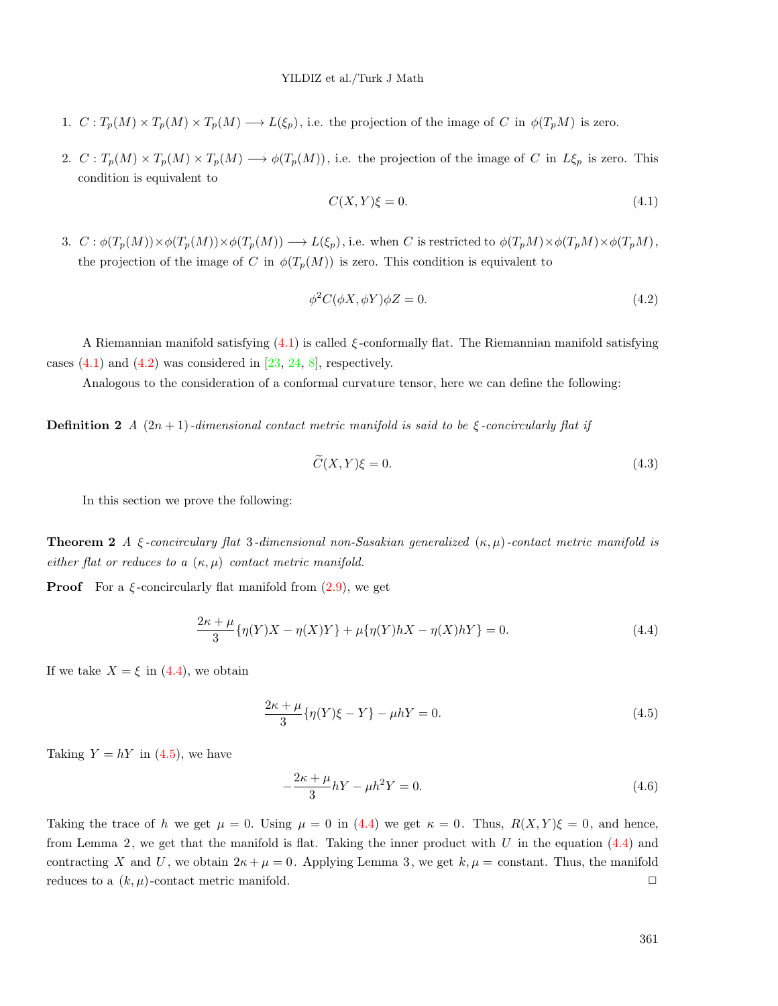- 1.  $C: T_p(M) \times T_p(M) \times T_p(M) \longrightarrow L(\xi_p)$ , i.e. the projection of the image of C in  $\phi(T_pM)$  is zero.
- 2.  $C: T_p(M) \times T_p(M) \times T_p(M) \longrightarrow \phi(T_p(M))$ , i.e. the projection of the image of C in  $L\xi_p$  is zero. This condition is equivalent to

$$
C(X,Y)\xi = 0.\t\t(4.1)
$$

3.  $C : \phi(T_p(M)) \times \phi(T_p(M)) \times \phi(T_p(M)) \longrightarrow L(\xi_p)$ , i.e. when C is restricted to  $\phi(T_pM) \times \phi(T_pM) \times \phi(T_pM)$ , the projection of the image of C in  $\phi(T_p(M))$  is zero. This condition is equivalent to

$$
\phi^2 C(\phi X, \phi Y)\phi Z = 0. \tag{4.2}
$$

A Riemannian manifold satisfying  $(4.1)$  is called  $\xi$ -conformally flat. The Riemannian manifold satisfying cases  $(4.1)$  and  $(4.2)$  was considered in  $[23, 24, 8]$ , respectively.

Analogous to the consideration of a conformal curvature tensor, here we can define the following:

**Definition 2** *A*  $(2n + 1)$ *-dimensional contact metric manifold is said to be*  $\xi$ *-concircularly flat if* 

$$
\widetilde{C}(X,Y)\xi = 0.\tag{4.3}
$$

In this section we prove the following:

Theorem 2 *A* ξ *-concirculary flat* 3*-dimensional non-Sasakian generalized* (κ, µ)*-contact metric manifold is either flat or reduces to a*  $(\kappa, \mu)$  *contact metric manifold.* 

**Proof** For a  $\xi$ -concircularly flat manifold from  $(2.9)$ , we get

$$
\frac{2\kappa + \mu}{3} \{\eta(Y)X - \eta(X)Y\} + \mu \{\eta(Y)hX - \eta(X)hY\} = 0.
$$
 (4.4)

If we take  $X = \xi$  in (4.4), we obtain

$$
\frac{2\kappa + \mu}{3} \{\eta(Y)\xi - Y\} - \mu hY = 0.
$$
\n(4.5)

Taking  $Y = hY$  in (4.5), we have

$$
-\frac{2\kappa + \mu}{3}hY - \mu h^2 Y = 0.
$$
\n(4.6)

Taking the trace of h we get  $\mu = 0$ . Using  $\mu = 0$  in (4.4) we get  $\kappa = 0$ . Thus,  $R(X, Y)\xi = 0$ , and hence, from Lemma 2, we get that the manifold is flat. Taking the inner product with U in the equation  $(4.4)$  and contracting X and U, we obtain  $2\kappa + \mu = 0$ . Applying Lemma 3, we get  $k, \mu = \text{constant}$ . Thus, the manifold reduces to a  $(k, \mu)$ -contact metric manifold.  $\Box$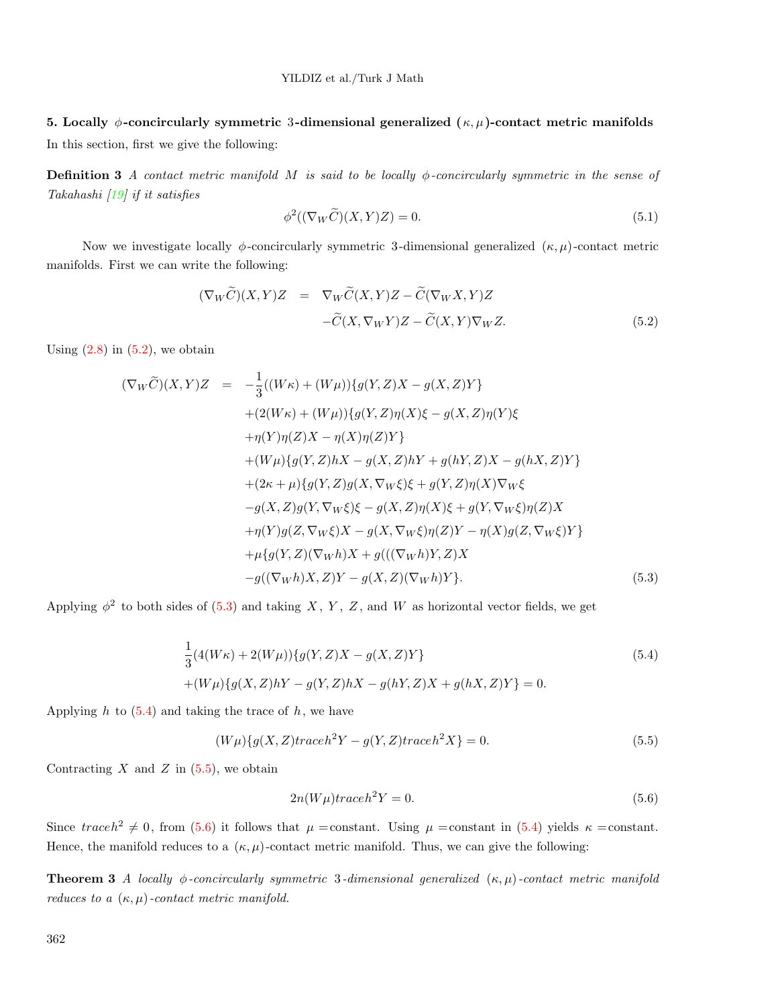# 5. Locally  $\phi$ -concircularly symmetric 3-dimensional generalized  $(\kappa, \mu)$ -contact metric manifolds

In this section, first we give the following:

Definition 3 *A contact metric manifold* M *is said to be locally* φ*-concircularly symmetric in the sense of Takahashi [19] if it satisfies*

$$
\phi^2((\nabla_W \widetilde{C})(X,Y)Z) = 0. \tag{5.1}
$$

Now we investigate locally  $\phi$ -concircularly symmetric 3-dimensional generalized  $(\kappa, \mu)$ -contact metric manifolds. First we can write the following:

$$
(\nabla_W \widetilde{C})(X,Y)Z = \nabla_W \widetilde{C}(X,Y)Z - \widetilde{C}(\nabla_W X,Y)Z
$$

$$
-\widetilde{C}(X,\nabla_W Y)Z - \widetilde{C}(X,Y)\nabla_W Z.
$$
(5.2)

Using  $(2.8)$  in  $(5.2)$ , we obtain

$$
(\nabla_{W}\widetilde{C})(X,Y)Z = -\frac{1}{3}((W\kappa) + (W\mu))\{g(Y,Z)X - g(X,Z)Y\} + (2(W\kappa) + (W\mu))\{g(Y,Z)\eta(X)\xi - g(X,Z)\eta(Y)\xi + \eta(Y)\eta(Z)X - \eta(X)\eta(Z)Y\} + (W\mu)\{g(Y,Z)hX - g(X,Z)hY + g(hY,Z)X - g(hX,Z)Y\} + (2\kappa + \mu)\{g(Y,Z)g(X,\nabla_{W}\xi)\xi + g(Y,Z)\eta(X)\nabla_{W}\xi -g(X,Z)g(Y,\nabla_{W}\xi)\xi - g(X,Z)\eta(X)\xi + g(Y,\nabla_{W}\xi)\eta(Z)X + \eta(Y)g(Z,\nabla_{W}\xi)X - g(X,\nabla_{W}\xi)\eta(Z)Y - \eta(X)g(Z,\nabla_{W}\xi)Y\} + \mu\{g(Y,Z)(\nabla_{W}h)X + g(((\nabla_{W}h)Y,Z)X -g((\nabla_{W}h)X,Z)Y - g(X,Z)(\nabla_{W}h)Y\}.
$$
\n(5.3)

Applying  $\phi^2$  to both sides of (5.3) and taking X, Y, Z, and W as horizontal vector fields, we get

$$
\frac{1}{3}(4(W\kappa) + 2(W\mu))\{g(Y,Z)X - g(X,Z)Y\}
$$
\n
$$
+(W\mu)\{g(X,Z)hY - g(Y,Z)hX - g(hY,Z)X + g(hX,Z)Y\} = 0.
$$
\n(5.4)

Applying  $h$  to  $(5.4)$  and taking the trace of  $h$ , we have

$$
(W\mu)\lbrace g(X,Z)traceh^{2}Y - g(Y,Z)traceh^{2}X\rbrace = 0.
$$
\n
$$
(5.5)
$$

Contracting  $X$  and  $Z$  in  $(5.5)$ , we obtain

$$
2n(W\mu)traceh^2Y = 0.
$$
\n(5.6)

Since  $traceh^2 \neq 0$ , from (5.6) it follows that  $\mu = constant$ . Using  $\mu = constant$  in (5.4) yields  $\kappa = constant$ . Hence, the manifold reduces to a  $(\kappa, \mu)$ -contact metric manifold. Thus, we can give the following:

**Theorem 3** *A locally*  $\phi$ -concircularly symmetric 3-dimensional generalized  $(\kappa, \mu)$ -contact metric manifold *reduces to a*  $(\kappa, \mu)$ *-contact metric manifold.*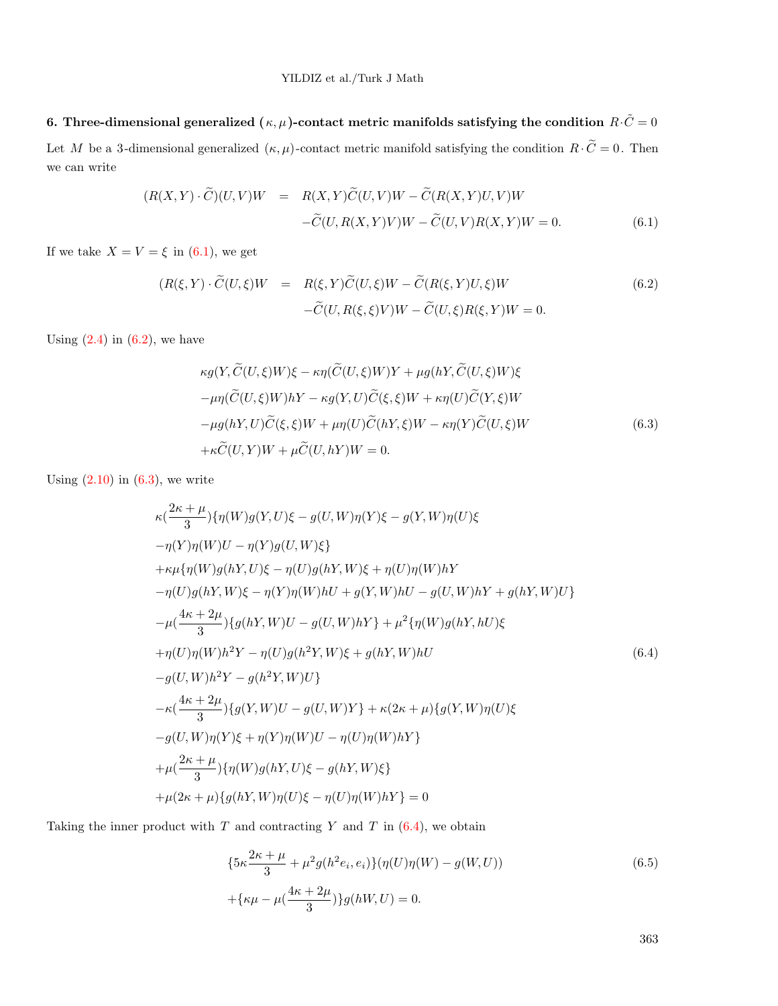6. Three-dimensional generalized  $(\kappa, \mu)$ -contact metric manifolds satisfying the condition  $R \cdot \tilde{C} = 0$ Let M be a 3-dimensional generalized  $(\kappa, \mu)$ -contact metric manifold satisfying the condition  $R \cdot \tilde{C} = 0$ . Then we can write

$$
(R(X,Y)\cdot\widetilde{C})(U,V)W = R(X,Y)\widetilde{C}(U,V)W - \widetilde{C}(R(X,Y)U,V)W
$$

$$
-\widetilde{C}(U,R(X,Y)V)W - \widetilde{C}(U,V)R(X,Y)W = 0.
$$
(6.1)

If we take  $X = V = \xi$  in (6.1), we get

$$
(R(\xi, Y) \cdot \widetilde{C}(U, \xi)W = R(\xi, Y)\widetilde{C}(U, \xi)W - \widetilde{C}(R(\xi, Y)U, \xi)W
$$
  

$$
-\widetilde{C}(U, R(\xi, \xi)V)W - \widetilde{C}(U, \xi)R(\xi, Y)W = 0.
$$
  
(6.2)

Using  $(2.4)$  in  $(6.2)$ , we have

$$
\kappa g(Y, \widetilde{C}(U,\xi)W)\xi - \kappa \eta(\widetilde{C}(U,\xi)W)Y + \mu g(hY, \widetilde{C}(U,\xi)W)\xi
$$
  
\n
$$
-\mu \eta(\widetilde{C}(U,\xi)W)hY - \kappa g(Y,U)\widetilde{C}(\xi,\xi)W + \kappa \eta(U)\widetilde{C}(Y,\xi)W
$$
  
\n
$$
-\mu g(hY,U)\widetilde{C}(\xi,\xi)W + \mu \eta(U)\widetilde{C}(hY,\xi)W - \kappa \eta(Y)\widetilde{C}(U,\xi)W
$$
  
\n
$$
+\kappa \widetilde{C}(U,Y)W + \mu \widetilde{C}(U,hY)W = 0.
$$
\n(6.3)

Using  $(2.10)$  in  $(6.3)$ , we write

$$
\kappa\left(\frac{2\kappa+\mu}{3}\right)\{\eta(W)g(Y,U)\xi-g(U,W)\eta(Y)\xi-g(Y,W)\eta(U)\xi
$$
  
\n
$$
-\eta(Y)\eta(W)U-\eta(Y)g(U,W)\xi\}
$$
  
\n
$$
+\kappa\mu\{\eta(W)g(hY,U)\xi-\eta(U)g(hY,W)\xi+\eta(U)\eta(W)hY
$$
  
\n
$$
-\eta(U)g(hY,W)\xi-\eta(Y)\eta(W)hU+g(Y,W)hU-g(U,W)hY+g(hY,W)U\}
$$
  
\n
$$
-\mu\frac{4\kappa+2\mu}{3}\{\eta(hY,W)U-g(U,W)hY\}+\mu^{2}\{\eta(W)g(hY,hU)\xi
$$
  
\n
$$
+\eta(U)\eta(W)h^{2}Y-\eta(U)g(h^{2}Y,W)\xi+g(hY,W)hU
$$
  
\n
$$
-g(U,W)h^{2}Y-g(h^{2}Y,W)U\}
$$
  
\n
$$
-\kappa\left(\frac{4\kappa+2\mu}{3}\right)\{g(Y,W)U-g(U,W)Y\}+\kappa(2\kappa+\mu)\{g(Y,W)\eta(U)\xi
$$
  
\n
$$
-g(U,W)\eta(Y)\xi+\eta(Y)\eta(W)U-\eta(U)\eta(W)hY\}
$$
  
\n
$$
+\mu\left(\frac{2\kappa+\mu}{3}\right)\{\eta(W)g(hY,U)\xi-g(hY,W)\xi\}
$$
  
\n
$$
+\mu(2\kappa+\mu)\{g(hY,W)\eta(U)\xi-\eta(U)\eta(W)hY\}=0
$$

Taking the inner product with  $T$  and contracting  $Y$  and  $T$  in  $(6.4)$ , we obtain

$$
\{5\kappa \frac{2\kappa + \mu}{3} + \mu^2 g(h^2 e_i, e_i)\} (\eta(U)\eta(W) - g(W, U))
$$
\n
$$
+ \{\kappa \mu - \mu(\frac{4\kappa + 2\mu}{3})\} g(hW, U) = 0.
$$
\n(6.5)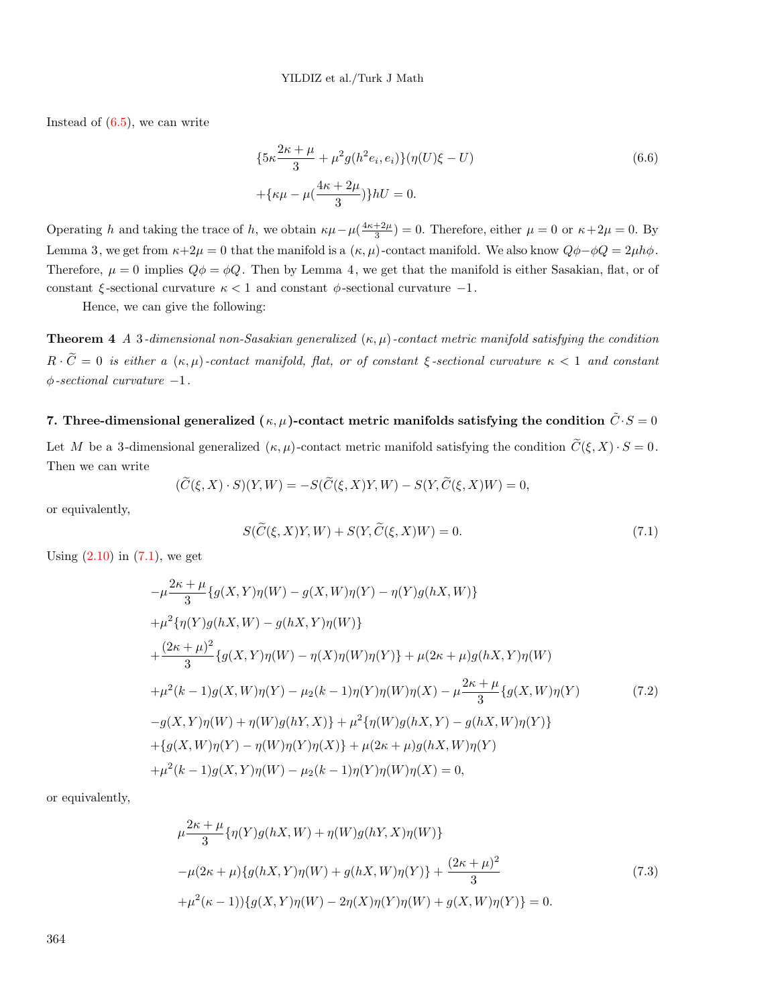Instead of  $(6.5)$ , we can write

$$
\{5\kappa \frac{2\kappa + \mu}{3} + \mu^2 g(h^2 e_i, e_i)\} (\eta(U)\xi - U) + \{\kappa \mu - \mu(\frac{4\kappa + 2\mu}{3})\} hU = 0.
$$
\n(6.6)

Operating h and taking the trace of h, we obtain  $\kappa\mu-\mu(\frac{4\kappa+2\mu}{3})=0$ . Therefore, either  $\mu=0$  or  $\kappa+2\mu=0$ . By Lemma 3, we get from  $\kappa+2\mu=0$  that the manifold is a  $(\kappa,\mu)$ -contact manifold. We also know  $Q\phi-\phi Q=2\mu h\phi$ . Therefore,  $\mu = 0$  implies  $Q\phi = \phi Q$ . Then by Lemma 4, we get that the manifold is either Sasakian, flat, or of constant  $\xi$ -sectional curvature  $\kappa < 1$  and constant  $\phi$ -sectional curvature  $-1$ .

Hence, we can give the following:

**Theorem 4** *A* 3*-dimensional non-Sasakian generalized*  $(\kappa, \mu)$ *-contact metric manifold satisfying the condition*  $R \cdot \tilde{C} = 0$  *is either a*  $(\kappa, \mu)$ -contact manifold, flat, or of constant  $\xi$ -sectional curvature  $\kappa < 1$  and constant φ*-sectional curvature* −1*.*

## 7. Three-dimensional generalized  $(\kappa, \mu)$ -contact metric manifolds satisfying the condition  $\tilde{C}\cdot S=0$

Let M be a 3-dimensional generalized  $(\kappa, \mu)$ -contact metric manifold satisfying the condition  $\widetilde{C}(\xi, X) \cdot S = 0$ . Then we can write

$$
(\widetilde{C}(\xi, X) \cdot S)(Y, W) = -S(\widetilde{C}(\xi, X)Y, W) - S(Y, \widetilde{C}(\xi, X)W) = 0,
$$

or equivalently,

$$
S(\widetilde{C}(\xi, X)Y, W) + S(Y, \widetilde{C}(\xi, X)W) = 0.
$$
\n
$$
(7.1)
$$

Using  $(2.10)$  in  $(7.1)$ , we get

$$
-\mu \frac{2\kappa + \mu}{3} \{g(X, Y)\eta(W) - g(X, W)\eta(Y) - \eta(Y)g(hX, W)\}\
$$
  
+  $\mu^2 \{\eta(Y)g(hX, W) - g(hX, Y)\eta(W)\}\$   
+  $\frac{(2\kappa + \mu)^2}{3} \{g(X, Y)\eta(W) - \eta(X)\eta(W)\eta(Y)\} + \mu(2\kappa + \mu)g(hX, Y)\eta(W)\$   
+  $\mu^2(k - 1)g(X, W)\eta(Y) - \mu_2(k - 1)\eta(Y)\eta(W)\eta(X) - \mu \frac{2\kappa + \mu}{3} \{g(X, W)\eta(Y)\}$   
-  $g(X, Y)\eta(W) + \eta(W)g(hY, X)\} + \mu^2 \{\eta(W)g(hX, Y) - g(hX, W)\eta(Y)\}\$   
+  $\{g(X, W)\eta(Y) - \eta(W)\eta(Y)\eta(X)\} + \mu(2\kappa + \mu)g(hX, W)\eta(Y)\$   
+  $\mu^2(k - 1)g(X, Y)\eta(W) - \mu_2(k - 1)\eta(Y)\eta(W)\eta(X) = 0,$  (11)

or equivalently,

$$
\mu \frac{2\kappa + \mu}{3} \{\eta(Y)g(hX, W) + \eta(W)g(hY, X)\eta(W)\}\
$$
  

$$
-\mu(2\kappa + \mu)\{g(hX, Y)\eta(W) + g(hX, W)\eta(Y)\} + \frac{(2\kappa + \mu)^2}{3}
$$
  

$$
+\mu^2(\kappa - 1)\{\eta(X, Y)\eta(W) - 2\eta(X)\eta(Y)\eta(W) + g(X, W)\eta(Y)\} = 0.
$$
 (7.3)

364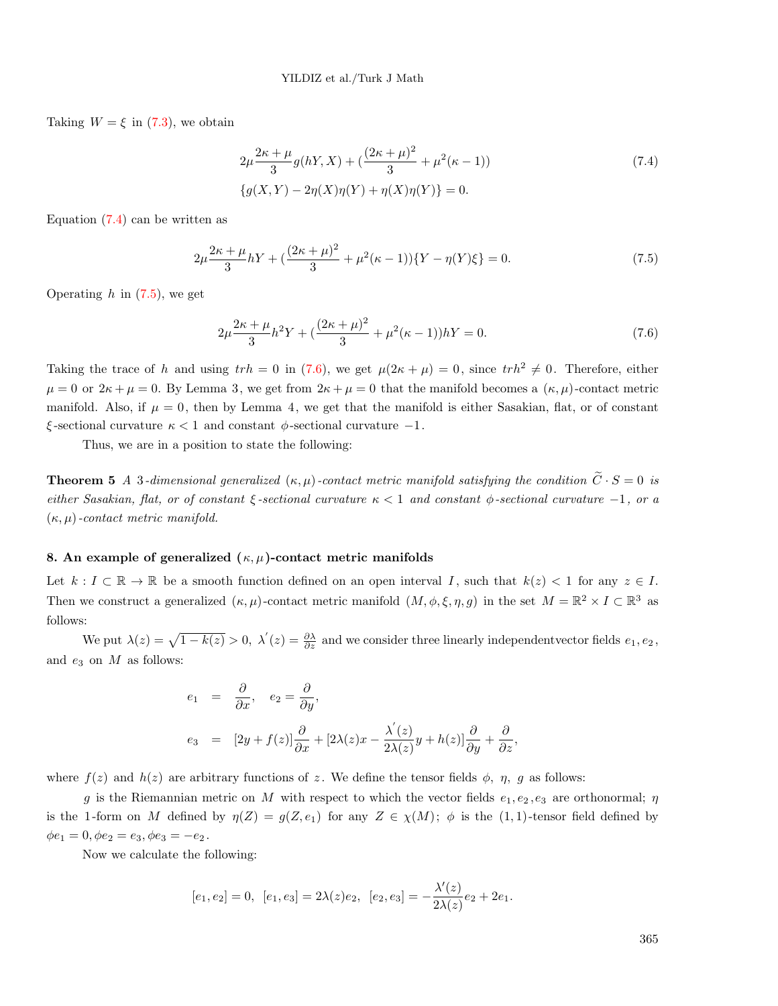Taking  $W = \xi$  in (7.3), we obtain

$$
2\mu \frac{2\kappa + \mu}{3} g(hY, X) + \left(\frac{(2\kappa + \mu)^2}{3} + \mu^2(\kappa - 1)\right)
$$
  

$$
\{g(X, Y) - 2\eta(X)\eta(Y) + \eta(X)\eta(Y)\} = 0.
$$
 (7.4)

Equation  $(7.4)$  can be written as

$$
2\mu \frac{2\kappa + \mu}{3} hY + \left(\frac{(2\kappa + \mu)^2}{3} + \mu^2(\kappa - 1)\right) \{Y - \eta(Y)\xi\} = 0. \tag{7.5}
$$

Operating  $h$  in  $(7.5)$ , we get

$$
2\mu \frac{2\kappa + \mu}{3}h^2 Y + \left(\frac{(2\kappa + \mu)^2}{3} + \mu^2(\kappa - 1)\right)hY = 0.
$$
\n(7.6)

Taking the trace of h and using  $trh = 0$  in (7.6), we get  $\mu(2\kappa + \mu) = 0$ , since  $trh^2 \neq 0$ . Therefore, either  $\mu = 0$  or  $2\kappa + \mu = 0$ . By Lemma 3, we get from  $2\kappa + \mu = 0$  that the manifold becomes a  $(\kappa, \mu)$ -contact metric manifold. Also, if  $\mu = 0$ , then by Lemma 4, we get that the manifold is either Sasakian, flat, or of constant ξ -sectional curvature κ < 1 and constant φ-sectional curvature −1.

Thus, we are in a position to state the following:

**Theorem 5** *A* 3-dimensional generalized  $(\kappa, \mu)$ -contact metric manifold satisfying the condition  $\tilde{C} \cdot S = 0$  is *either Sasakian, flat, or of constant* ξ *-sectional curvature* κ < 1 *and constant* φ*-sectional curvature* −1*, or a* (κ, µ)*-contact metric manifold.*

#### 8. An example of generalized  $(\kappa, \mu)$ -contact metric manifolds

Let  $k : I \subset \mathbb{R} \to \mathbb{R}$  be a smooth function defined on an open interval I, such that  $k(z) < 1$  for any  $z \in I$ . Then we construct a generalized  $(\kappa, \mu)$ -contact metric manifold  $(M, \phi, \xi, \eta, g)$  in the set  $M = \mathbb{R}^2 \times I \subset \mathbb{R}^3$  as follows:

We put  $\lambda(z) = \sqrt{1 - k(z)} > 0$ ,  $\lambda'(z) = \frac{\partial \lambda}{\partial z}$  and we consider three linearly independent vector fields  $e_1, e_2$ , and  $e_3$  on  $M$  as follows:

$$
e_1 = \frac{\partial}{\partial x}, \quad e_2 = \frac{\partial}{\partial y},
$$
  
\n
$$
e_3 = [2y + f(z)] \frac{\partial}{\partial x} + [2\lambda(z)x - \frac{\lambda'(z)}{2\lambda(z)}y + h(z)] \frac{\partial}{\partial y} + \frac{\partial}{\partial z},
$$

where  $f(z)$  and  $h(z)$  are arbitrary functions of z. We define the tensor fields  $\phi$ ,  $\eta$ , g as follows:

g is the Riemannian metric on M with respect to which the vector fields  $e_1, e_2, e_3$  are orthonormal;  $\eta$ is the 1-form on M defined by  $\eta(Z) = g(Z, e_1)$  for any  $Z \in \chi(M)$ ;  $\phi$  is the (1,1)-tensor field defined by  $\phi e_1 = 0, \phi e_2 = e_3, \phi e_3 = -e_2.$ 

Now we calculate the following:

$$
[e_1,e_2]=0,\;\; [e_1,e_3]=2\lambda(z)e_2,\;\; [e_2,e_3]=-\frac{\lambda'(z)}{2\lambda(z)}e_2+2e_1.
$$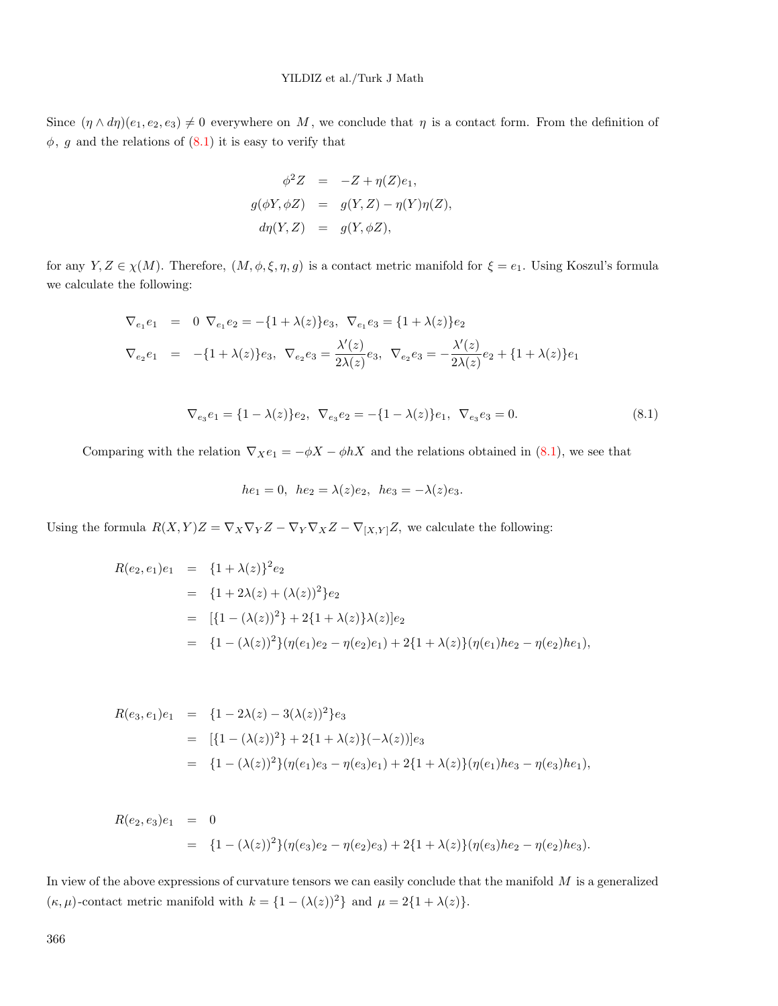Since  $(\eta \wedge d\eta)(e_1, e_2, e_3) \neq 0$  everywhere on M, we conclude that  $\eta$  is a contact form. From the definition of  $\phi$ , g and the relations of  $(8.1)$  it is easy to verify that

$$
\phi^2 Z = -Z + \eta(Z)e_1,
$$
  
\n
$$
g(\phi Y, \phi Z) = g(Y, Z) - \eta(Y)\eta(Z),
$$
  
\n
$$
d\eta(Y, Z) = g(Y, \phi Z),
$$

for any  $Y, Z \in \chi(M)$ . Therefore,  $(M, \phi, \xi, \eta, g)$  is a contact metric manifold for  $\xi = e_1$ . Using Koszul's formula we calculate the following:

$$
\nabla_{e_1} e_1 = 0 \nabla_{e_1} e_2 = -\{1 + \lambda(z)\} e_3, \nabla_{e_1} e_3 = \{1 + \lambda(z)\} e_2
$$
\n
$$
\nabla_{e_2} e_1 = -\{1 + \lambda(z)\} e_3, \nabla_{e_2} e_3 = \frac{\lambda'(z)}{2\lambda(z)} e_3, \nabla_{e_2} e_3 = -\frac{\lambda'(z)}{2\lambda(z)} e_2 + \{1 + \lambda(z)\} e_1
$$

$$
\nabla_{e_3} e_1 = \{1 - \lambda(z)\} e_2, \ \nabla_{e_3} e_2 = -\{1 - \lambda(z)\} e_1, \ \nabla_{e_3} e_3 = 0. \tag{8.1}
$$

Comparing with the relation  $\nabla_X e_1 = -\phi X - \phi hX$  and the relations obtained in (8.1), we see that

$$
he_1 = 0
$$
,  $he_2 = \lambda(z)e_2$ ,  $he_3 = -\lambda(z)e_3$ .

Using the formula  $R(X, Y)Z = \nabla_X \nabla_Y Z - \nabla_Y \nabla_X Z - \nabla_{[X,Y]} Z$ , we calculate the following:

$$
R(e_2, e_1)e_1 = \{1 + \lambda(z)\}^2 e_2
$$
  
=  $\{1 + 2\lambda(z) + (\lambda(z))^2\} e_2$   
=  $[\{1 - (\lambda(z))^2\} + 2\{1 + \lambda(z)\}\lambda(z)]e_2$   
=  $\{1 - (\lambda(z))^2\}(\eta(e_1)e_2 - \eta(e_2)e_1) + 2\{1 + \lambda(z)\}(\eta(e_1)he_2 - \eta(e_2)he_1),$ 

$$
R(e_3, e_1)e_1 = \{1 - 2\lambda(z) - 3(\lambda(z))^2\}e_3
$$
  
= 
$$
[\{1 - (\lambda(z))^2\} + 2\{1 + \lambda(z)\}(-\lambda(z))]e_3
$$
  
= 
$$
\{1 - (\lambda(z))^2\}(\eta(e_1)e_3 - \eta(e_3)e_1) + 2\{1 + \lambda(z)\}(\eta(e_1)he_3 - \eta(e_3)he_1),
$$

$$
R(e_2, e_3)e_1 = 0
$$
  
=  $\{1 - (\lambda(z))^2\}(\eta(e_3)e_2 - \eta(e_2)e_3) + 2\{1 + \lambda(z)\}(\eta(e_3)he_2 - \eta(e_2)he_3).$ 

In view of the above expressions of curvature tensors we can easily conclude that the manifold  $M$  is a generalized  $(\kappa,\mu)\text{-contact metric manifold with }k=\{1-(\lambda(z))^2\}$  and  $\mu=2\{1+\lambda(z)\}.$ 

366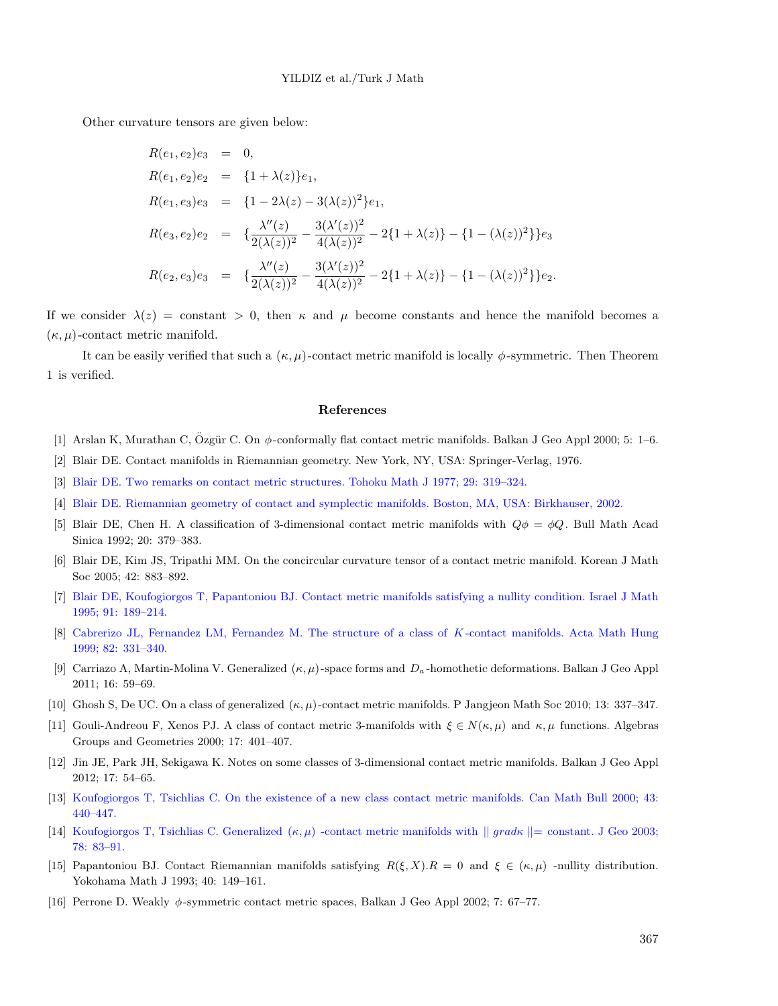Other curvature tensors are given below:

$$
R(e_1, e_2)e_3 = 0,
$$
  
\n
$$
R(e_1, e_2)e_2 = \{1 + \lambda(z)\}e_1,
$$
  
\n
$$
R(e_1, e_3)e_3 = \{1 - 2\lambda(z) - 3(\lambda(z))^2\}e_1,
$$
  
\n
$$
R(e_3, e_2)e_2 = \{\frac{\lambda''(z)}{2(\lambda(z))^2} - \frac{3(\lambda'(z))^2}{4(\lambda(z))^2} - 2\{1 + \lambda(z)\} - \{1 - (\lambda(z))^2\}\}e_3
$$
  
\n
$$
R(e_2, e_3)e_3 = \{\frac{\lambda''(z)}{2(\lambda(z))^2} - \frac{3(\lambda'(z))^2}{4(\lambda(z))^2} - 2\{1 + \lambda(z)\} - \{1 - (\lambda(z))^2\}\}e_2.
$$

If we consider  $\lambda(z) = constant > 0$ , then  $\kappa$  and  $\mu$  become constants and hence the manifold becomes a  $(\kappa, \mu)$ -contact metric manifold.

It can be easily verified that such a  $(\kappa, \mu)$ -contact metric manifold is locally  $\phi$ -symmetric. Then Theorem 1 is verified.

#### References

- [1] Arslan K, Murathan C, Özgür C. On  $\phi$ -conformally flat contact metric manifolds. Balkan J Geo Appl 2000; 5: 1–6.
- [2] Blair DE. Contact manifolds in Riemannian geometry. New York, NY, USA: Springer-Verlag, 1976.
- [3] Blair DE. Two remarks on contact metric structures. Tohoku Math J 1977; 29: 319–324.
- [4] Blair DE. Riemannian geometry of contact and symplectic manifolds. Boston, MA, USA: Birkhauser, 2002.
- [5] Blair DE, Chen H. A classification of 3-dimensional contact metric manifolds with  $Q\phi = \phi Q$ . Bull Math Acad Sinica 1992; 20: 379–383.
- [6] Blair DE, Kim JS, Tripathi MM. On the concircular curvature tensor of a contact metric manifold. Korean J Math Soc 2005; 42: 883–892.
- [7] Blair DE, Koufogiorgos T, Papantoniou BJ. Contact metric manifolds satisfying a nullity condition. Israel J Math 1995; 91: 189–214.
- [8] Cabrerizo JL, Fernandez LM, Fernandez M. The structure of a class of K -contact manifolds. Acta Math Hung 1999; 82: 331–340.
- [9] Carriazo A, Martin-Molina V. Generalized  $(\kappa, \mu)$ -space forms and  $D_a$ -homothetic deformations. Balkan J Geo Appl 2011; 16: 59–69.
- [10] Ghosh S, De UC. On a class of generalized  $(\kappa, \mu)$ -contact metric manifolds. P Jangjeon Math Soc 2010; 13: 337–347.
- [11] Gouli-Andreou F, Xenos PJ. A class of contact metric 3-manifolds with  $\xi \in N(\kappa, \mu)$  and  $\kappa, \mu$  functions. Algebras Groups and Geometries 2000; 17: 401–407.
- [12] Jin JE, Park JH, Sekigawa K. Notes on some classes of 3-dimensional contact metric manifolds. Balkan J Geo Appl 2012; 17: 54–65.
- [13] Koufogiorgos T, Tsichlias C. On the existence of a new class contact metric manifolds. Can Math Bull 2000; 43: 440–447.
- [14] Koufogiorgos T, Tsichlias C. Generalized  $(\kappa, \mu)$  -contact metric manifolds with  $||grad\kappa|| = constant$ . J Geo 2003; 78: 83–91.
- [15] Papantoniou BJ. Contact Riemannian manifolds satisfying  $R(\xi, X) \cdot R = 0$  and  $\xi \in (\kappa, \mu)$  -nullity distribution. Yokohama Math J 1993; 40: 149–161.
- [16] Perrone D. Weakly  $\phi$ -symmetric contact metric spaces, Balkan J Geo Appl 2002; 7: 67–77.